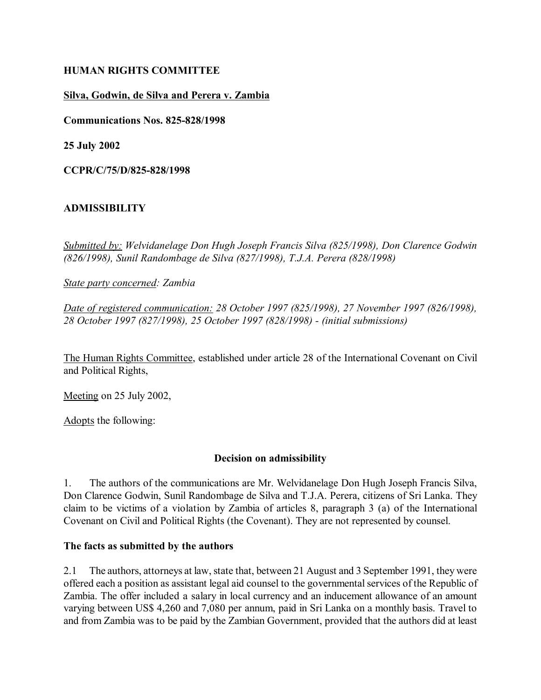## **HUMAN RIGHTS COMMITTEE**

### **Silva, Godwin, de Silva and Perera v. Zambia**

**Communications Nos. 825-828/1998**

**25 July 2002**

**CCPR/C/75/D/825-828/1998**

## **ADMISSIBILITY**

*Submitted by: Welvidanelage Don Hugh Joseph Francis Silva (825/1998), Don Clarence Godwin (826/1998), Sunil Randombage de Silva (827/1998), T.J.A. Perera (828/1998)* 

*State party concerned: Zambia*

*Date of registered communication: 28 October 1997 (825/1998), 27 November 1997 (826/1998), 28 October 1997 (827/1998), 25 October 1997 (828/1998) - (initial submissions)* 

The Human Rights Committee, established under article 28 of the International Covenant on Civil and Political Rights,

Meeting on 25 July 2002,

Adopts the following:

#### **Decision on admissibility**

1. The authors of the communications are Mr. Welvidanelage Don Hugh Joseph Francis Silva, Don Clarence Godwin, Sunil Randombage de Silva and T.J.A. Perera, citizens of Sri Lanka. They claim to be victims of a violation by Zambia of articles 8, paragraph 3 (a) of the International Covenant on Civil and Political Rights (the Covenant). They are not represented by counsel.

#### **The facts as submitted by the authors**

2.1 The authors, attorneys at law, state that, between 21 August and 3 September 1991, they were offered each a position as assistant legal aid counsel to the governmental services of the Republic of Zambia. The offer included a salary in local currency and an inducement allowance of an amount varying between US\$ 4,260 and 7,080 per annum, paid in Sri Lanka on a monthly basis. Travel to and from Zambia was to be paid by the Zambian Government, provided that the authors did at least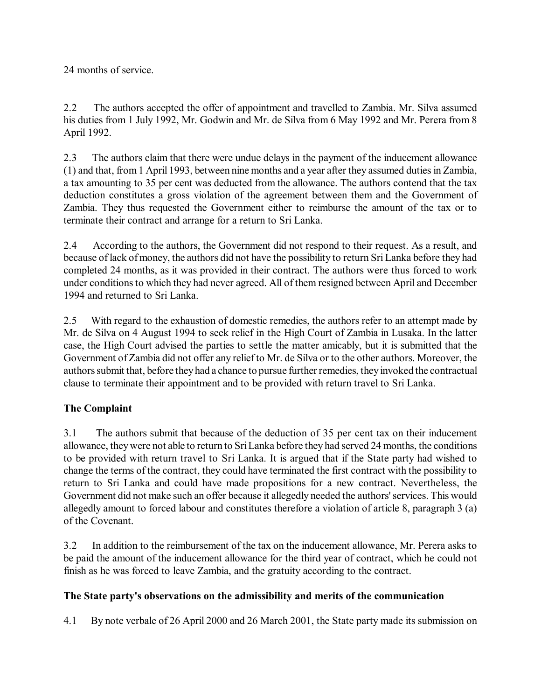24 months of service.

2.2 The authors accepted the offer of appointment and travelled to Zambia. Mr. Silva assumed his duties from 1 July 1992, Mr. Godwin and Mr. de Silva from 6 May 1992 and Mr. Perera from 8 April 1992.

2.3 The authors claim that there were undue delays in the payment of the inducement allowance (1) and that, from 1 April 1993, between nine months and a year after they assumed duties in Zambia, a tax amounting to 35 per cent was deducted from the allowance. The authors contend that the tax deduction constitutes a gross violation of the agreement between them and the Government of Zambia. They thus requested the Government either to reimburse the amount of the tax or to terminate their contract and arrange for a return to Sri Lanka.

2.4 According to the authors, the Government did not respond to their request. As a result, and because of lack of money, the authors did not have the possibility to return Sri Lanka before they had completed 24 months, as it was provided in their contract. The authors were thus forced to work under conditions to which they had never agreed. All of them resigned between April and December 1994 and returned to Sri Lanka.

2.5 With regard to the exhaustion of domestic remedies, the authors refer to an attempt made by Mr. de Silva on 4 August 1994 to seek relief in the High Court of Zambia in Lusaka. In the latter case, the High Court advised the parties to settle the matter amicably, but it is submitted that the Government of Zambia did not offer any relief to Mr. de Silva or to the other authors. Moreover, the authors submit that, before they had a chance to pursue further remedies, they invoked the contractual clause to terminate their appointment and to be provided with return travel to Sri Lanka.

# **The Complaint**

3.1 The authors submit that because of the deduction of 35 per cent tax on their inducement allowance, they were not able to return to Sri Lanka before they had served 24 months, the conditions to be provided with return travel to Sri Lanka. It is argued that if the State party had wished to change the terms of the contract, they could have terminated the first contract with the possibility to return to Sri Lanka and could have made propositions for a new contract. Nevertheless, the Government did not make such an offer because it allegedly needed the authors' services. This would allegedly amount to forced labour and constitutes therefore a violation of article 8, paragraph 3 (a) of the Covenant.

3.2 In addition to the reimbursement of the tax on the inducement allowance, Mr. Perera asks to be paid the amount of the inducement allowance for the third year of contract, which he could not finish as he was forced to leave Zambia, and the gratuity according to the contract.

# **The State party's observations on the admissibility and merits of the communication**

4.1 By note verbale of 26 April 2000 and 26 March 2001, the State party made its submission on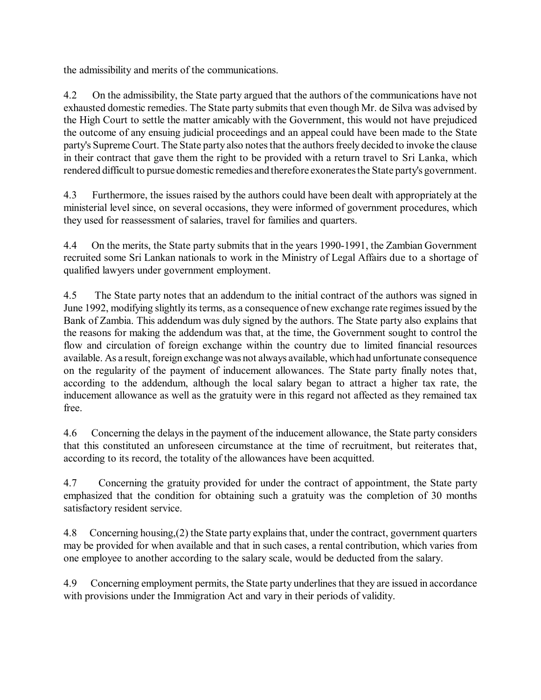the admissibility and merits of the communications.

4.2 On the admissibility, the State party argued that the authors of the communications have not exhausted domestic remedies. The State party submits that even though Mr. de Silva was advised by the High Court to settle the matter amicably with the Government, this would not have prejudiced the outcome of any ensuing judicial proceedings and an appeal could have been made to the State party's Supreme Court. The State party also notes that the authors freely decided to invoke the clause in their contract that gave them the right to be provided with a return travel to Sri Lanka, which rendered difficult to pursue domestic remedies and therefore exonerates the State party's government.

4.3 Furthermore, the issues raised by the authors could have been dealt with appropriately at the ministerial level since, on several occasions, they were informed of government procedures, which they used for reassessment of salaries, travel for families and quarters.

4.4 On the merits, the State party submits that in the years 1990-1991, the Zambian Government recruited some Sri Lankan nationals to work in the Ministry of Legal Affairs due to a shortage of qualified lawyers under government employment.

4.5 The State party notes that an addendum to the initial contract of the authors was signed in June 1992, modifying slightly its terms, as a consequence of new exchange rate regimes issued by the Bank of Zambia. This addendum was duly signed by the authors. The State party also explains that the reasons for making the addendum was that, at the time, the Government sought to control the flow and circulation of foreign exchange within the country due to limited financial resources available. As a result, foreign exchange was not always available, which had unfortunate consequence on the regularity of the payment of inducement allowances. The State party finally notes that, according to the addendum, although the local salary began to attract a higher tax rate, the inducement allowance as well as the gratuity were in this regard not affected as they remained tax free.

4.6 Concerning the delays in the payment of the inducement allowance, the State party considers that this constituted an unforeseen circumstance at the time of recruitment, but reiterates that, according to its record, the totality of the allowances have been acquitted.

4.7 Concerning the gratuity provided for under the contract of appointment, the State party emphasized that the condition for obtaining such a gratuity was the completion of 30 months satisfactory resident service.

4.8 Concerning housing,(2) the State party explains that, under the contract, government quarters may be provided for when available and that in such cases, a rental contribution, which varies from one employee to another according to the salary scale, would be deducted from the salary.

4.9 Concerning employment permits, the State party underlines that they are issued in accordance with provisions under the Immigration Act and vary in their periods of validity.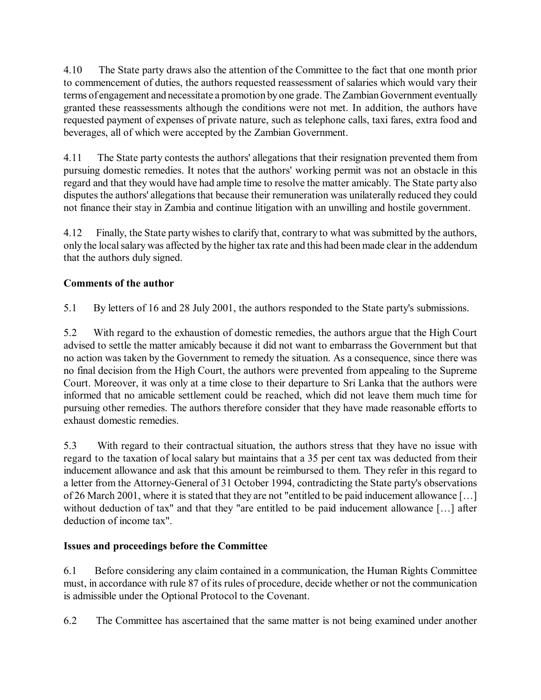4.10 The State party draws also the attention of the Committee to the fact that one month prior to commencement of duties, the authors requested reassessment of salaries which would vary their terms of engagement and necessitate a promotion by one grade. The Zambian Government eventually granted these reassessments although the conditions were not met. In addition, the authors have requested payment of expenses of private nature, such as telephone calls, taxi fares, extra food and beverages, all of which were accepted by the Zambian Government.

4.11 The State party contests the authors' allegations that their resignation prevented them from pursuing domestic remedies. It notes that the authors' working permit was not an obstacle in this regard and that they would have had ample time to resolve the matter amicably. The State party also disputes the authors' allegations that because their remuneration was unilaterally reduced they could not finance their stay in Zambia and continue litigation with an unwilling and hostile government.

4.12 Finally, the State party wishes to clarify that, contrary to what was submitted by the authors, only the local salary was affected by the higher tax rate and this had been made clear in the addendum that the authors duly signed.

# **Comments of the author**

5.1 By letters of 16 and 28 July 2001, the authors responded to the State party's submissions.

5.2 With regard to the exhaustion of domestic remedies, the authors argue that the High Court advised to settle the matter amicably because it did not want to embarrass the Government but that no action was taken by the Government to remedy the situation. As a consequence, since there was no final decision from the High Court, the authors were prevented from appealing to the Supreme Court. Moreover, it was only at a time close to their departure to Sri Lanka that the authors were informed that no amicable settlement could be reached, which did not leave them much time for pursuing other remedies. The authors therefore consider that they have made reasonable efforts to exhaust domestic remedies.

5.3 With regard to their contractual situation, the authors stress that they have no issue with regard to the taxation of local salary but maintains that a 35 per cent tax was deducted from their inducement allowance and ask that this amount be reimbursed to them. They refer in this regard to a letter from the Attorney-General of 31 October 1994, contradicting the State party's observations of 26 March 2001, where it is stated that they are not "entitled to be paid inducement allowance [...] without deduction of tax" and that they "are entitled to be paid inducement allowance  $[\dots]$  after deduction of income tax".

# **Issues and proceedings before the Committee**

6.1 Before considering any claim contained in a communication, the Human Rights Committee must, in accordance with rule 87 of its rules of procedure, decide whether or not the communication is admissible under the Optional Protocol to the Covenant.

6.2 The Committee has ascertained that the same matter is not being examined under another